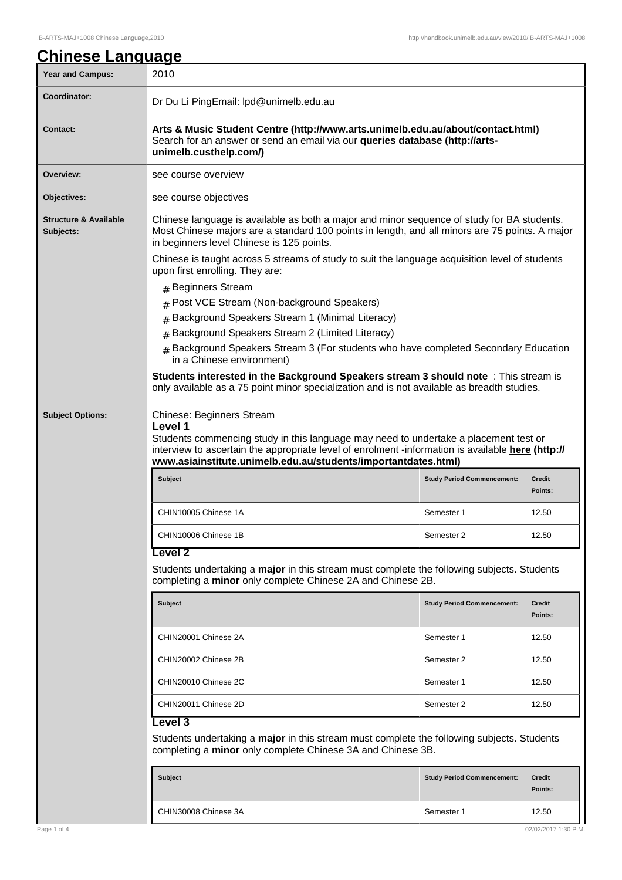| <b>Year and Campus:</b>                       | 2010                                                                                                                                                                                                                                                                                                |                          |  |
|-----------------------------------------------|-----------------------------------------------------------------------------------------------------------------------------------------------------------------------------------------------------------------------------------------------------------------------------------------------------|--------------------------|--|
| <b>Coordinator:</b>                           |                                                                                                                                                                                                                                                                                                     |                          |  |
|                                               | Dr Du Li PingEmail: Ipd@unimelb.edu.au                                                                                                                                                                                                                                                              |                          |  |
| <b>Contact:</b>                               | Arts & Music Student Centre (http://www.arts.unimelb.edu.au/about/contact.html)<br>Search for an answer or send an email via our <b>queries database (http://arts-</b><br>unimelb.custhelp.com/)                                                                                                    |                          |  |
| Overview:                                     | see course overview                                                                                                                                                                                                                                                                                 |                          |  |
| Objectives:                                   | see course objectives                                                                                                                                                                                                                                                                               |                          |  |
| <b>Structure &amp; Available</b><br>Subjects: | Chinese language is available as both a major and minor sequence of study for BA students.<br>Most Chinese majors are a standard 100 points in length, and all minors are 75 points. A major<br>in beginners level Chinese is 125 points.                                                           |                          |  |
|                                               | Chinese is taught across 5 streams of study to suit the language acquisition level of students<br>upon first enrolling. They are:                                                                                                                                                                   |                          |  |
|                                               | # Beginners Stream                                                                                                                                                                                                                                                                                  |                          |  |
|                                               | # Post VCE Stream (Non-background Speakers)                                                                                                                                                                                                                                                         |                          |  |
|                                               | Background Speakers Stream 1 (Minimal Literacy)<br>#                                                                                                                                                                                                                                                |                          |  |
|                                               | Background Speakers Stream 2 (Limited Literacy)<br>$\#$                                                                                                                                                                                                                                             |                          |  |
|                                               | Background Speakers Stream 3 (For students who have completed Secondary Education<br>in a Chinese environment)                                                                                                                                                                                      |                          |  |
|                                               | Students interested in the Background Speakers stream 3 should note : This stream is<br>only available as a 75 point minor specialization and is not available as breadth studies.                                                                                                                  |                          |  |
|                                               | Chinese: Beginners Stream<br>Level 1<br>Students commencing study in this language may need to undertake a placement test or<br>interview to ascertain the appropriate level of enrolment -information is available here (http://<br>www.asiainstitute.unimelb.edu.au/students/importantdates.html) |                          |  |
|                                               |                                                                                                                                                                                                                                                                                                     |                          |  |
|                                               | <b>Subject</b><br><b>Study Period Commencement:</b>                                                                                                                                                                                                                                                 | <b>Credit</b><br>Points: |  |
|                                               | CHIN10005 Chinese 1A<br>Semester 1                                                                                                                                                                                                                                                                  | 12.50                    |  |
|                                               | CHIN10006 Chinese 1B<br>Semester 2                                                                                                                                                                                                                                                                  | 12.50                    |  |
|                                               | Level 2<br>Students undertaking a major in this stream must complete the following subjects. Students<br>completing a minor only complete Chinese 2A and Chinese 2B.                                                                                                                                |                          |  |
|                                               | <b>Subject</b><br><b>Study Period Commencement:</b>                                                                                                                                                                                                                                                 | Credit<br>Points:        |  |
|                                               | CHIN20001 Chinese 2A<br>Semester 1                                                                                                                                                                                                                                                                  | 12.50                    |  |
|                                               | CHIN20002 Chinese 2B<br>Semester 2                                                                                                                                                                                                                                                                  | 12.50                    |  |
|                                               | CHIN20010 Chinese 2C<br>Semester 1                                                                                                                                                                                                                                                                  | 12.50                    |  |
|                                               | CHIN20011 Chinese 2D<br>Semester 2                                                                                                                                                                                                                                                                  | 12.50                    |  |
|                                               | <b>Level 3</b><br>Students undertaking a <b>major</b> in this stream must complete the following subjects. Students<br>completing a minor only complete Chinese 3A and Chinese 3B.                                                                                                                  |                          |  |
|                                               | <b>Subject</b><br><b>Study Period Commencement:</b>                                                                                                                                                                                                                                                 | Credit<br>Points:        |  |

 $\mathsf{I}$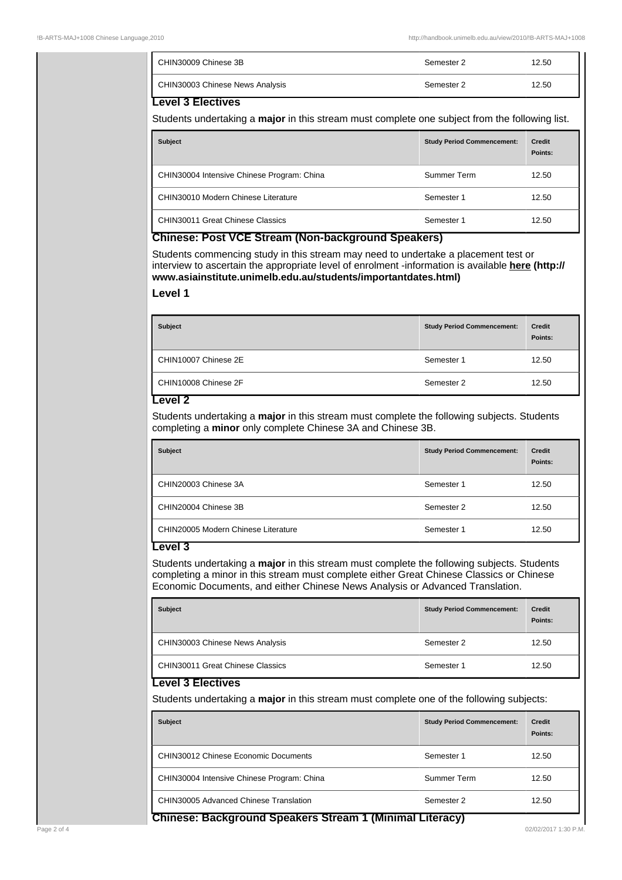| CHIN30009 Chinese 3B            | Semester 2 | 12.50 |
|---------------------------------|------------|-------|
| CHIN30003 Chinese News Analysis | Semester 2 | 12.50 |

## **Level 3 Electives**

Students undertaking a **major** in this stream must complete one subject from the following list.

| <b>Subject</b>                                               | <b>Study Period Commencement:</b> | <b>Credit</b><br>Points: |
|--------------------------------------------------------------|-----------------------------------|--------------------------|
| CHIN30004 Intensive Chinese Program: China                   | Summer Term                       | 12.50                    |
| CHIN30010 Modern Chinese Literature                          | Semester 1                        | 12.50                    |
| CHIN30011 Great Chinese Classics<br>$\overline{\phantom{a}}$ | Semester 1                        | 12.50                    |

## **Chinese: Post VCE Stream (Non-background Speakers)**

Students commencing study in this stream may need to undertake a placement test or interview to ascertain the appropriate level of enrolment -information is available **here (http:// www.asiainstitute.unimelb.edu.au/students/importantdates.html)**

#### **Level 1**

| <b>Subject</b>       | <b>Study Period Commencement:</b> | <b>Credit</b><br>Points: |
|----------------------|-----------------------------------|--------------------------|
| CHIN10007 Chinese 2E | Semester 1                        | 12.50                    |
| CHIN10008 Chinese 2F | Semester 2                        | 12.50                    |

### **Level 2**

Students undertaking a **major** in this stream must complete the following subjects. Students completing a **minor** only complete Chinese 3A and Chinese 3B.

| <b>Subject</b>                      | <b>Study Period Commencement:</b> | Credit<br>Points: |
|-------------------------------------|-----------------------------------|-------------------|
| CHIN20003 Chinese 3A                | Semester 1                        | 12.50             |
| CHIN20004 Chinese 3B                | Semester 2                        | 12.50             |
| CHIN20005 Modern Chinese Literature | Semester 1                        | 12.50             |

# **Level 3**

Students undertaking a **major** in this stream must complete the following subjects. Students completing a minor in this stream must complete either Great Chinese Classics or Chinese Economic Documents, and either Chinese News Analysis or Advanced Translation.

| <b>Subject</b>                                       | <b>Study Period Commencement:</b> | <b>Credit</b><br>Points: |
|------------------------------------------------------|-----------------------------------|--------------------------|
| CHIN30003 Chinese News Analysis                      | Semester 2                        | 12.50                    |
| CHIN30011 Great Chinese Classics<br>---<br>--<br>--- | Semester 1                        | 12.50                    |

#### **Level 3 Electives**

Students undertaking a **major** in this stream must complete one of the following subjects:

| <b>Subject</b>                                                | <b>Study Period Commencement:</b> | <b>Credit</b><br>Points: |
|---------------------------------------------------------------|-----------------------------------|--------------------------|
| CHIN30012 Chinese Economic Documents                          | Semester 1                        | 12.50                    |
| CHIN30004 Intensive Chinese Program: China                    | Summer Term                       | 12.50                    |
| CHIN30005 Advanced Chinese Translation<br>---<br><del>.</del> | Semester 2<br>----                | 12.50                    |

**Chinese: Background Speakers Stream 1 (Minimal Literacy)**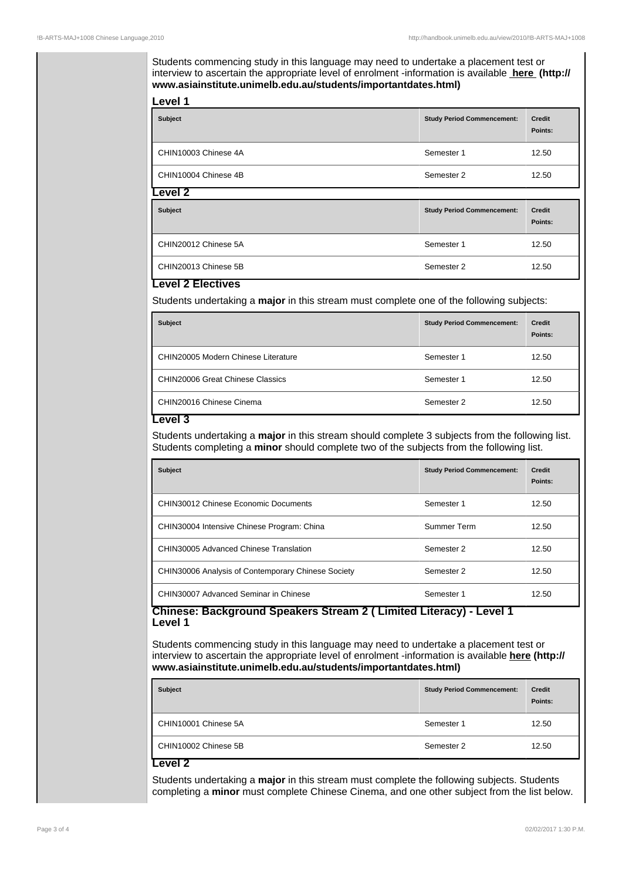Students commencing study in this language may need to undertake a placement test or interview to ascertain the appropriate level of enrolment -information is available **here (http:// www.asiainstitute.unimelb.edu.au/students/importantdates.html)**

| <b>Subject</b>       | <b>Study Period Commencement:</b> | <b>Credit</b><br>Points: |
|----------------------|-----------------------------------|--------------------------|
| CHIN10003 Chinese 4A | Semester 1                        | 12.50                    |
| CHIN10004 Chinese 4B | Semester 2                        | 12.50                    |
| evel 2               |                                   |                          |

| _~*~~                |                                   |                          |
|----------------------|-----------------------------------|--------------------------|
| <b>Subject</b>       | <b>Study Period Commencement:</b> | <b>Credit</b><br>Points: |
| CHIN20012 Chinese 5A | Semester 1                        | 12.50                    |
| CHIN20013 Chinese 5B | Semester 2                        | 12.50                    |

# **Level 2 Electives**

**Level 1**

Students undertaking a **major** in this stream must complete one of the following subjects:

| <b>Subject</b>                          | <b>Study Period Commencement:</b> | <b>Credit</b><br>Points: |
|-----------------------------------------|-----------------------------------|--------------------------|
| CHIN20005 Modern Chinese Literature     | Semester 1                        | 12.50                    |
| <b>CHIN20006 Great Chinese Classics</b> | Semester 1                        | 12.50                    |
| CHIN20016 Chinese Cinema                | Semester 2                        | 12.50                    |

#### **Level 3**

Students undertaking a **major** in this stream should complete 3 subjects from the following list. Students completing a **minor** should complete two of the subjects from the following list.

| <b>Subject</b>                                     | <b>Study Period Commencement:</b> | <b>Credit</b><br>Points: |
|----------------------------------------------------|-----------------------------------|--------------------------|
| CHIN30012 Chinese Economic Documents               | Semester 1                        | 12.50                    |
| CHIN30004 Intensive Chinese Program: China         | Summer Term                       | 12.50                    |
| CHIN30005 Advanced Chinese Translation             | Semester 2                        | 12.50                    |
| CHIN30006 Analysis of Contemporary Chinese Society | Semester 2                        | 12.50                    |
| CHIN30007 Advanced Seminar in Chinese              | Semester 1                        | 12.50                    |

#### **Chinese: Background Speakers Stream 2 ( Limited Literacy) - Level 1 Level 1**

Students commencing study in this language may need to undertake a placement test or interview to ascertain the appropriate level of enrolment -information is available **here (http:// www.asiainstitute.unimelb.edu.au/students/importantdates.html)**

| <b>Subject</b>       | <b>Study Period Commencement:</b> | <b>Credit</b><br>Points: |
|----------------------|-----------------------------------|--------------------------|
| CHIN10001 Chinese 5A | Semester 1                        | 12.50                    |
| CHIN10002 Chinese 5B | Semester 2                        | 12.50                    |
| Level :              |                                   |                          |

Students undertaking a **major** in this stream must complete the following subjects. Students completing a **minor** must complete Chinese Cinema, and one other subject from the list below.